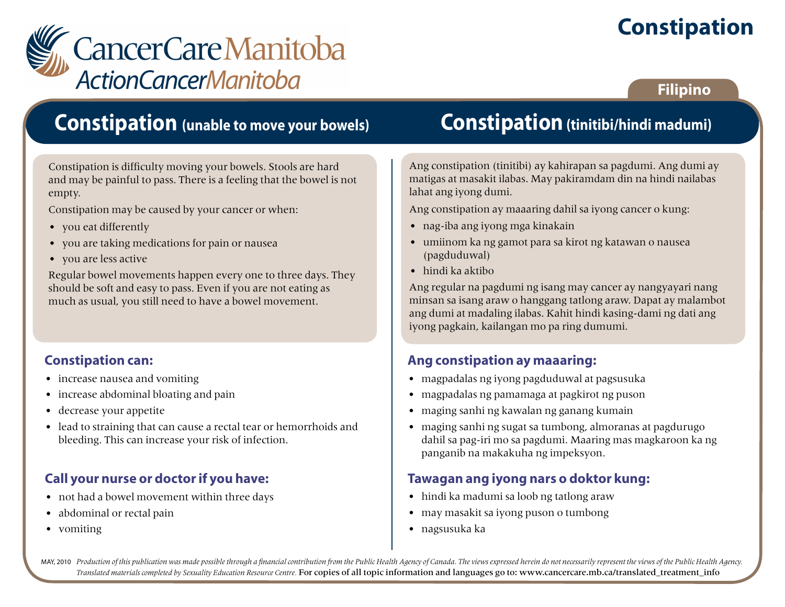# **Constipation**



### **Filipino**

### **Constipation (unable to move your bowels)**

Constipation is difficulty moving your bowels. Stools are hard and may be painful to pass. There is a feeling that the bowel is not empty.

Constipation may be caused by your cancer or when:

- you eat differently
- you are taking medications for pain or nausea
- you are less active

Regular bowel movements happen every one to three days. They should be soft and easy to pass. Even if you are not eating as much as usual, you still need to have a bowel movement.

#### **Constipation can:**

- increase nausea and vomiting
- increase abdominal bloating and pain
- decrease your appetite
- lead to straining that can cause a rectal tear or hemorrhoids and bleeding. This can increase your risk of infection.

### **Call your nurse or doctor if you have:**

- not had a bowel movement within three days
- abdominal or rectal pain
- vomiting

# **Constipation (tinitibi/hindi madumi)**

Ang constipation (tinitibi) ay kahirapan sa pagdumi. Ang dumi ay matigas at masakit ilabas. May pakiramdam din na hindi nailabas lahat ang iyong dumi.

Ang constipation ay maaaring dahil sa iyong cancer o kung:

- nag-iba ang iyong mga kinakain
- umiinom ka ng gamot para sa kirot ng katawan o nausea (pagduduwal)
- hindi ka aktibo

Ang regular na pagdumi ng isang may cancer ay nangyayari nang minsan sa isang araw o hanggang tatlong araw. Dapat ay malambot ang dumi at madaling ilabas. Kahit hindi kasing-dami ng dati ang iyong pagkain, kailangan mo pa ring dumumi.

### **Ang constipation ay maaaring:**

- magpadalas ng iyong pagduduwal at pagsusuka
- magpadalas ng pamamaga at pagkirot ng puson
- maging sanhi ng kawalan ng ganang kumain
- maging sanhi ng sugat sa tumbong, almoranas at pagdurugo dahil sa pag-iri mo sa pagdumi. Maaring mas magkaroon ka ng panganib na makakuha ng impeksyon.

#### **Tawagan ang iyong nars o doktor kung:**

- hindi ka madumi sa loob ng tatlong araw
- may masakit sa iyong puson o tumbong
- nagsusuka ka

MAY, 2010 Production of this publication was made possible through a financial contribution from the Public Health Agency of Canada. The views expressed herein do not necessarily represent the views of the Public Health Ag *Translated materials completed by Sexuality Education Resource Centre.* For copies of all topic information and languages go to: www.cancercare.mb.ca/translated\_treatment\_info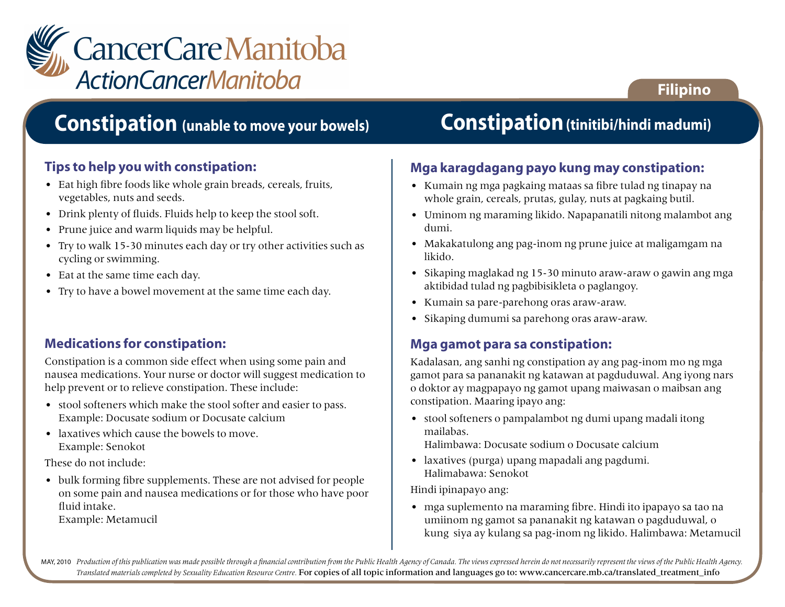

### **Constipation (unable to move your bowels)**

#### **Tips to help you with constipation:**

- Eat high fibre foods like whole grain breads, cereals, fruits, vegetables, nuts and seeds.
- Drink plenty of fluids. Fluids help to keep the stool soft.
- Prune juice and warm liquids may be helpful.
- Try to walk 15-30 minutes each day or try other activities such as cycling or swimming.
- Eat at the same time each day.
- Try to have a bowel movement at the same time each day.

#### **Medications for constipation:**

Constipation is a common side effect when using some pain and nausea medications. Your nurse or doctor will suggest medication to help prevent or to relieve constipation. These include:

- stool softeners which make the stool softer and easier to pass. Example: Docusate sodium or Docusate calcium
- laxatives which cause the bowels to move. Example: Senokot

These do not include:

• bulk forming fibre supplements. These are not advised for people on some pain and nausea medications or for those who have poor fluid intake.

Example: Metamucil

# **Constipation(tinitibi/hindi madumi)**

**Filipino**

#### **Mga karagdagang payo kung may constipation:**

- Kumain ng mga pagkaing mataas sa fibre tulad ng tinapay na whole grain, cereals, prutas, gulay, nuts at pagkaing butil.
- Uminom ng maraming likido. Napapanatili nitong malambot ang dumi.
- Makakatulong ang pag-inom ng prune juice at maligamgam na likido.
- Sikaping maglakad ng 15-30 minuto araw-araw o gawin ang mga aktibidad tulad ng pagbibisikleta o paglangoy.
- Kumain sa pare-parehong oras araw-araw.
- Sikaping dumumi sa parehong oras araw-araw.

#### **Mga gamot para sa constipation:**

Kadalasan, ang sanhi ng constipation ay ang pag-inom mo ng mga gamot para sa pananakit ng katawan at pagduduwal. Ang iyong nars o doktor ay magpapayo ng gamot upang maiwasan o maibsan ang constipation. Maaring ipayo ang:

• stool softeners o pampalambot ng dumi upang madali itong mailabas.

Halimbawa: Docusate sodium o Docusate calcium

• laxatives (purga) upang mapadali ang pagdumi. Halimabawa: Senokot

Hindi ipinapayo ang:

• mga suplemento na maraming fibre. Hindi ito ipapayo sa tao na umiinom ng gamot sa pananakit ng katawan o pagduduwal, o kung siya ay kulang sa pag-inom ng likido. Halimbawa: Metamucil

MAY, 2010 Production of this publication was made possible through a financial contribution from the Public Health Agency of Canada. The views expressed herein do not necessarily represent the views of the Public Health Ag *Translated materials completed by Sexuality Education Resource Centre.* For copies of all topic information and languages go to: www.cancercare.mb.ca/translated\_treatment\_info